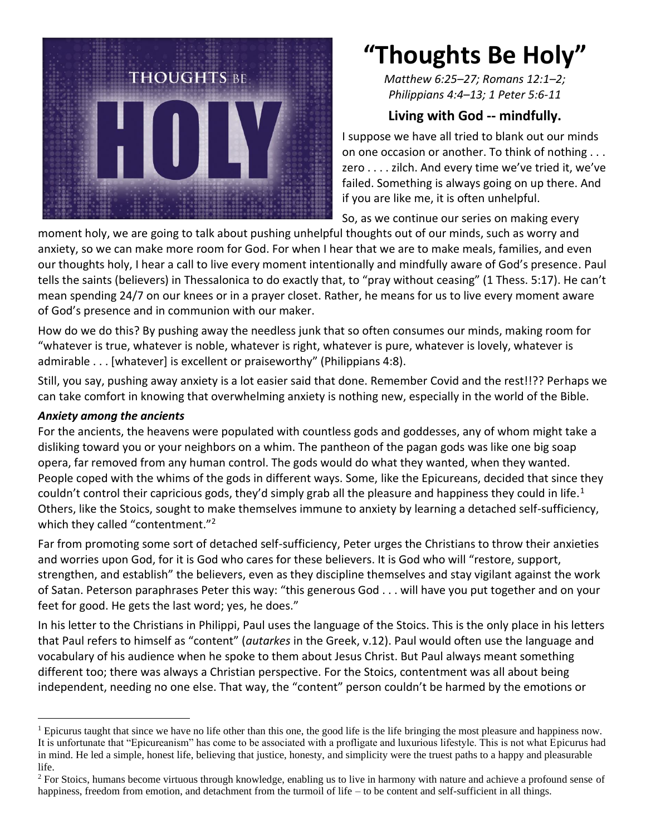

# **"Thoughts Be Holy"**

*Matthew 6:25–27; Romans 12:1–2; Philippians 4:4–13; 1 Peter 5:6-11*

## **Living with God -- mindfully.**

I suppose we have all tried to blank out our minds on one occasion or another. To think of nothing . . . zero . . . . zilch. And every time we've tried it, we've failed. Something is always going on up there. And if you are like me, it is often unhelpful.

So, as we continue our series on making every

moment holy, we are going to talk about pushing unhelpful thoughts out of our minds, such as worry and anxiety, so we can make more room for God. For when I hear that we are to make meals, families, and even our thoughts holy, I hear a call to live every moment intentionally and mindfully aware of God's presence. Paul tells the saints (believers) in Thessalonica to do exactly that, to "pray without ceasing" (1 Thess. 5:17). He can't mean spending 24/7 on our knees or in a prayer closet. Rather, he means for us to live every moment aware of God's presence and in communion with our maker.

How do we do this? By pushing away the needless junk that so often consumes our minds, making room for "whatever is true, whatever is noble, whatever is right, whatever is pure, whatever is lovely, whatever is admirable . . . [whatever] is excellent or praiseworthy" (Philippians 4:8).

Still, you say, pushing away anxiety is a lot easier said that done. Remember Covid and the rest!!?? Perhaps we can take comfort in knowing that overwhelming anxiety is nothing new, especially in the world of the Bible.

#### *Anxiety among the ancients*

For the ancients, the heavens were populated with countless gods and goddesses, any of whom might take a disliking toward you or your neighbors on a whim. The pantheon of the pagan gods was like one big soap opera, far removed from any human control. The gods would do what they wanted, when they wanted. People coped with the whims of the gods in different ways. Some, like the Epicureans, decided that since they couldn't control their capricious gods, they'd simply grab all the pleasure and happiness they could in life.<sup>1</sup> Others, like the Stoics, sought to make themselves immune to anxiety by learning a detached self-sufficiency, which they called "contentment."<sup>2</sup>

Far from promoting some sort of detached self-sufficiency, Peter urges the Christians to throw their anxieties and worries upon God, for it is God who cares for these believers. It is God who will "restore, support, strengthen, and establish" the believers, even as they discipline themselves and stay vigilant against the work of Satan. Peterson paraphrases Peter this way: "this generous God . . . will have you put together and on your feet for good. He gets the last word; yes, he does."

In his letter to the Christians in Philippi, Paul uses the language of the Stoics. This is the only place in his letters that Paul refers to himself as "content" (*autarkes* in the Greek, v.12). Paul would often use the language and vocabulary of his audience when he spoke to them about Jesus Christ. But Paul always meant something different too; there was always a Christian perspective. For the Stoics, contentment was all about being independent, needing no one else. That way, the "content" person couldn't be harmed by the emotions or

<sup>&</sup>lt;sup>1</sup> Epicurus taught that since we have no life other than this one, the good life is the life bringing the most pleasure and happiness now. It is unfortunate that "Epicureanism" has come to be associated with a profligate and luxurious lifestyle. This is not what Epicurus had in mind. He led a simple, honest life, believing that justice, honesty, and simplicity were the truest paths to a happy and pleasurable life.

<sup>&</sup>lt;sup>2</sup> For Stoics, humans become virtuous through knowledge, enabling us to live in harmony with nature and achieve a profound sense of happiness, freedom from emotion, and detachment from the turmoil of life – to be content and self-sufficient in all things.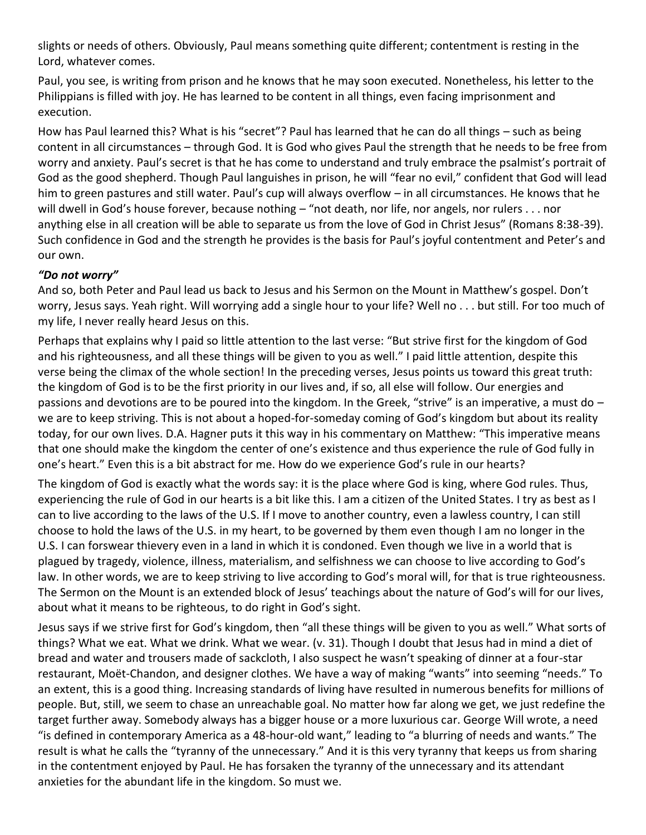slights or needs of others. Obviously, Paul means something quite different; contentment is resting in the Lord, whatever comes.

Paul, you see, is writing from prison and he knows that he may soon executed. Nonetheless, his letter to the Philippians is filled with joy. He has learned to be content in all things, even facing imprisonment and execution.

How has Paul learned this? What is his "secret"? Paul has learned that he can do all things – such as being content in all circumstances – through God. It is God who gives Paul the strength that he needs to be free from worry and anxiety. Paul's secret is that he has come to understand and truly embrace the psalmist's portrait of God as the good shepherd. Though Paul languishes in prison, he will "fear no evil," confident that God will lead him to green pastures and still water. Paul's cup will always overflow – in all circumstances. He knows that he will dwell in God's house forever, because nothing – "not death, nor life, nor angels, nor rulers . . . nor anything else in all creation will be able to separate us from the love of God in Christ Jesus" (Romans 8:38-39). Such confidence in God and the strength he provides is the basis for Paul's joyful contentment and Peter's and our own.

### *"Do not worry"*

And so, both Peter and Paul lead us back to Jesus and his Sermon on the Mount in Matthew's gospel. Don't worry, Jesus says. Yeah right. Will worrying add a single hour to your life? Well no . . . but still. For too much of my life, I never really heard Jesus on this.

Perhaps that explains why I paid so little attention to the last verse: "But strive first for the kingdom of God and his righteousness, and all these things will be given to you as well." I paid little attention, despite this verse being the climax of the whole section! In the preceding verses, Jesus points us toward this great truth: the kingdom of God is to be the first priority in our lives and, if so, all else will follow. Our energies and passions and devotions are to be poured into the kingdom. In the Greek, "strive" is an imperative, a must do  $$ we are to keep striving. This is not about a hoped-for-someday coming of God's kingdom but about its reality today, for our own lives. D.A. Hagner puts it this way in his commentary on Matthew: "This imperative means that one should make the kingdom the center of one's existence and thus experience the rule of God fully in one's heart." Even this is a bit abstract for me. How do we experience God's rule in our hearts?

The kingdom of God is exactly what the words say: it is the place where God is king, where God rules. Thus, experiencing the rule of God in our hearts is a bit like this. I am a citizen of the United States. I try as best as I can to live according to the laws of the U.S. If I move to another country, even a lawless country, I can still choose to hold the laws of the U.S. in my heart, to be governed by them even though I am no longer in the U.S. I can forswear thievery even in a land in which it is condoned. Even though we live in a world that is plagued by tragedy, violence, illness, materialism, and selfishness we can choose to live according to God's law. In other words, we are to keep striving to live according to God's moral will, for that is true righteousness. The Sermon on the Mount is an extended block of Jesus' teachings about the nature of God's will for our lives, about what it means to be righteous, to do right in God's sight.

Jesus says if we strive first for God's kingdom, then "all these things will be given to you as well." What sorts of things? What we eat. What we drink. What we wear. (v. 31). Though I doubt that Jesus had in mind a diet of bread and water and trousers made of sackcloth, I also suspect he wasn't speaking of dinner at a four-star restaurant, Moët-Chandon, and designer clothes. We have a way of making "wants" into seeming "needs." To an extent, this is a good thing. Increasing standards of living have resulted in numerous benefits for millions of people. But, still, we seem to chase an unreachable goal. No matter how far along we get, we just redefine the target further away. Somebody always has a bigger house or a more luxurious car. George Will wrote, a need "is defined in contemporary America as a 48-hour-old want," leading to "a blurring of needs and wants." The result is what he calls the "tyranny of the unnecessary." And it is this very tyranny that keeps us from sharing in the contentment enjoyed by Paul. He has forsaken the tyranny of the unnecessary and its attendant anxieties for the abundant life in the kingdom. So must we.